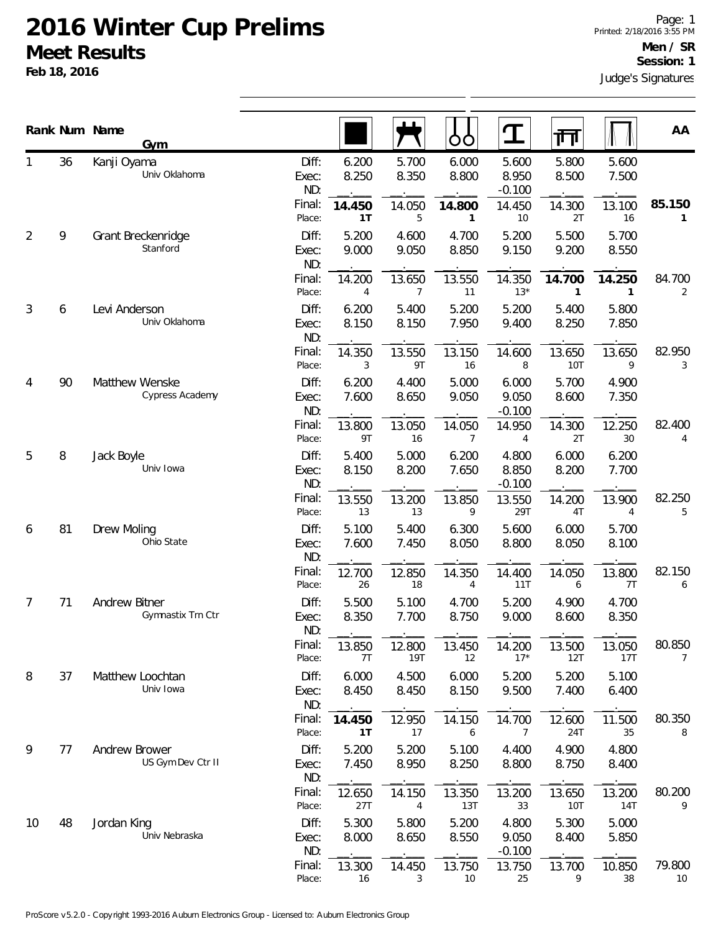|    |    | Rank Num Name<br><b>Gym</b>        |                       |                |                | OO             |                            | 帀                    |                | AA           |
|----|----|------------------------------------|-----------------------|----------------|----------------|----------------|----------------------------|----------------------|----------------|--------------|
|    | 36 | Kanji Oyama<br>Univ Oklahoma       | Diff:<br>Exec:<br>ND: | 6.200<br>8.250 | 5.700<br>8.350 | 6.000<br>8.800 | 5.600<br>8.950<br>$-0.100$ | 5.800<br>8.500       | 5.600<br>7.500 |              |
|    |    |                                    | Final:<br>Place:      | 14.450<br>1T   | 14.050<br>5    | 14.800<br>1    | 14.450<br>10               | 14.300<br>2T         | 13.100<br>16   | 85.150<br>1  |
| 2  | 9  | Grant Breckenridge<br>Stanford     | Diff:<br>Exec:<br>ND: | 5.200<br>9.000 | 4.600<br>9.050 | 4.700<br>8.850 | 5.200<br>9.150             | 5.500<br>9.200       | 5.700<br>8.550 |              |
|    |    |                                    | Final:<br>Place:      | 14.200<br>4    | 13.650<br>7    | 13.550<br>11   | 14.350<br>$13*$            | 14.700<br>1          | 14.250<br>1    | 84.700<br>2  |
| 3  | 6  | Levi Anderson<br>Univ Oklahoma     | Diff:<br>Exec:<br>ND: | 6.200<br>8.150 | 5.400<br>8.150 | 5.200<br>7.950 | 5.200<br>9.400             | 5.400<br>8.250       | 5.800<br>7.850 |              |
|    |    |                                    | Final:<br>Place:      | 14.350<br>3    | 13.550<br>9T   | 13.150<br>16   | 14.600<br>8                | 13.650<br><b>10T</b> | 13.650<br>9    | 82.950<br>3  |
| 4  | 90 | Matthew Wenske<br>Cypress Academy  | Diff:<br>Exec:<br>ND: | 6.200<br>7.600 | 4.400<br>8.650 | 5.000<br>9.050 | 6.000<br>9.050<br>$-0.100$ | 5.700<br>8.600       | 4.900<br>7.350 |              |
|    |    |                                    | Final:<br>Place:      | 13.800<br>9T   | 13.050<br>16   | 14.050<br>7    | 14.950<br>4                | 14.300<br>2T         | 12.250<br>30   | 82.400<br>4  |
| 5  | 8  | Jack Boyle<br>Univ Iowa            | Diff:<br>Exec:<br>ND: | 5.400<br>8.150 | 5.000<br>8.200 | 6.200<br>7.650 | 4.800<br>8.850<br>$-0.100$ | 6.000<br>8.200       | 6.200<br>7.700 |              |
|    |    |                                    | Final:<br>Place:      | 13.550<br>13   | 13.200<br>13   | 13.850<br>9    | 13.550<br>29T              | 14.200<br>4T         | 13.900<br>4    | 82.250<br>5  |
| 6  | 81 | Drew Moling<br>Ohio State          | Diff:<br>Exec:<br>ND: | 5.100<br>7.600 | 5.400<br>7.450 | 6.300<br>8.050 | 5.600<br>8.800             | 6.000<br>8.050       | 5.700<br>8.100 |              |
|    |    |                                    | Final:<br>Place:      | 12.700<br>26   | 12.850<br>18   | 14.350<br>4    | 14.400<br>11T              | 14.050<br>6          | 13.800<br>7T   | 82.150<br>6  |
| 7  | 71 | Andrew Bitner<br>Gymnastix Trn Ctr | Diff:<br>Exec:<br>ND: | 5.500<br>8.350 | 5.100<br>7.700 | 4.700<br>8.750 | 5.200<br>9.000             | 4.900<br>8.600       | 4.700<br>8.350 |              |
|    |    |                                    | Final:<br>Place:      | 13.850<br>7T   | 12.800<br>19T  | 13.450<br>12   | 14.200<br>$17*$            | 13.500<br>12T        | 13.050<br>17T  | 80.850<br>7  |
| 8  | 37 | Matthew Loochtan<br>Univ Iowa      | Diff:<br>Exec:<br>ND: | 6.000<br>8.450 | 4.500<br>8.450 | 6.000<br>8.150 | 5.200<br>9.500             | 5.200<br>7.400       | 5.100<br>6.400 |              |
|    |    |                                    | Final:<br>Place:      | 14.450<br>1T   | 12.950<br>17   | 14.150<br>6    | 14.700<br>7                | 12.600<br>24T        | 11.500<br>35   | 80.350<br>8  |
| 9  | 77 | Andrew Brower<br>US Gym Dev Ctr II | Diff:<br>Exec:<br>ND: | 5.200<br>7.450 | 5.200<br>8.950 | 5.100<br>8.250 | 4.400<br>8.800             | 4.900<br>8.750       | 4.800<br>8.400 |              |
|    |    |                                    | Final:<br>Place:      | 12.650<br>27T  | 14.150<br>4    | 13.350<br>13T  | 13.200<br>33               | 13.650<br>10T        | 13.200<br>14T  | 80.200<br>9  |
| 10 | 48 | Jordan King<br>Univ Nebraska       | Diff:<br>Exec:<br>ND: | 5.300<br>8.000 | 5.800<br>8.650 | 5.200<br>8.550 | 4.800<br>9.050<br>$-0.100$ | 5.300<br>8.400       | 5.000<br>5.850 |              |
|    |    |                                    | Final:<br>Place:      | 13.300<br>16   | 14.450<br>3    | 13.750<br>10   | 13.750<br>25               | 13.700<br>9          | 10.850<br>38   | 79.800<br>10 |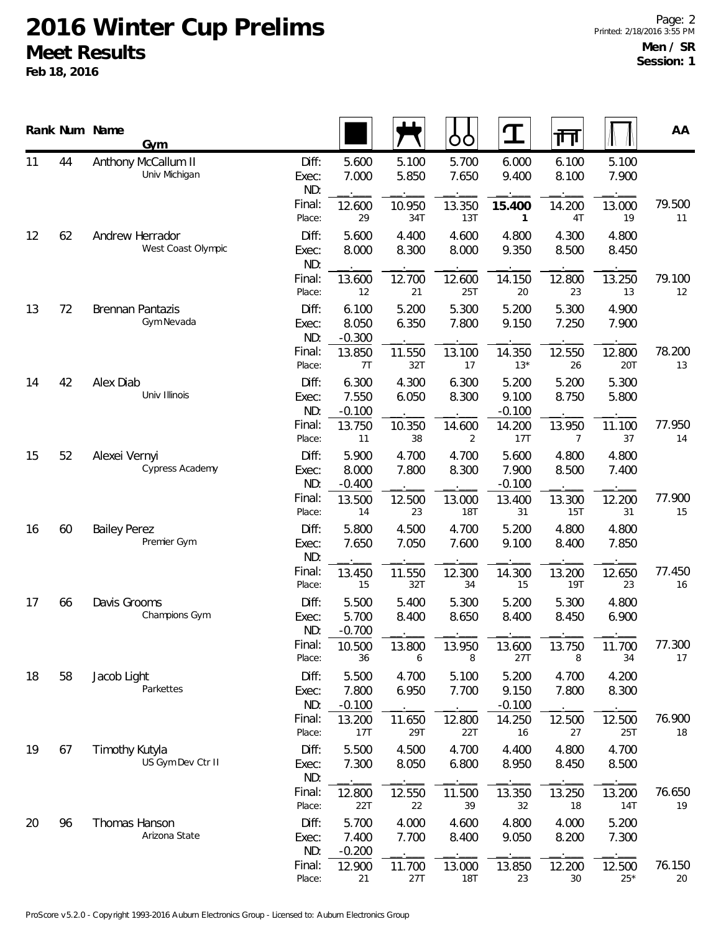|    |    | Rank Num Name       | Gym                |                       |                            |                | OO                   | $\mathbf T$                | 帀              |                      | AA           |
|----|----|---------------------|--------------------|-----------------------|----------------------------|----------------|----------------------|----------------------------|----------------|----------------------|--------------|
| 11 | 44 | Anthony McCallum II | Univ Michigan      | Diff:<br>Exec:<br>ND: | 5.600<br>7.000             | 5.100<br>5.850 | 5.700<br>7.650       | 6.000<br>9.400             | 6.100<br>8.100 | 5.100<br>7.900       |              |
|    |    |                     |                    | Final:<br>Place:      | 12.600<br>29               | 10.950<br>34T  | 13.350<br>13T        | 15.400<br>1                | 14.200<br>4T   | 13.000<br>19         | 79.500<br>11 |
| 12 | 62 | Andrew Herrador     | West Coast Olympic | Diff:<br>Exec:<br>ND: | 5.600<br>8.000             | 4.400<br>8.300 | 4.600<br>8.000       | 4.800<br>9.350             | 4.300<br>8.500 | 4.800<br>8.450       |              |
|    |    |                     |                    | Final:<br>Place:      | 13.600<br>12               | 12.700<br>21   | 12.600<br>25T        | 14.150<br>20               | 12.800<br>23   | 13.250<br>13         | 79.100<br>12 |
| 13 | 72 | Brennan Pantazis    | Gym Nevada         | Diff:<br>Exec:<br>ND: | 6.100<br>8.050<br>$-0.300$ | 5.200<br>6.350 | 5.300<br>7.800       | 5.200<br>9.150             | 5.300<br>7.250 | 4.900<br>7.900       |              |
|    |    |                     |                    | Final:<br>Place:      | 13.850<br>7T               | 11.550<br>32T  | 13.100<br>17         | 14.350<br>$13*$            | 12.550<br>26   | 12.800<br><b>20T</b> | 78.200<br>13 |
| 14 | 42 | Alex Diab           | Univ Illinois      | Diff:<br>Exec:<br>ND: | 6.300<br>7.550<br>$-0.100$ | 4.300<br>6.050 | 6.300<br>8.300       | 5.200<br>9.100<br>$-0.100$ | 5.200<br>8.750 | 5.300<br>5.800       |              |
|    |    |                     |                    | Final:<br>Place:      | 13.750<br>11               | 10.350<br>38   | 14.600<br>2          | 14.200<br>17T              | 13.950<br>7    | 11.100<br>37         | 77.950<br>14 |
| 15 | 52 | Alexei Vernyi       | Cypress Academy    | Diff:<br>Exec:<br>ND: | 5.900<br>8.000<br>$-0.400$ | 4.700<br>7.800 | 4.700<br>8.300       | 5.600<br>7.900<br>$-0.100$ | 4.800<br>8.500 | 4.800<br>7.400       |              |
|    |    |                     |                    | Final:<br>Place:      | 13.500<br>14               | 12.500<br>23   | 13.000<br><b>18T</b> | 13.400<br>31               | 13.300<br>15T  | 12.200<br>31         | 77.900<br>15 |
| 16 | 60 | <b>Bailey Perez</b> | Premier Gym        | Diff:<br>Exec:<br>ND: | 5.800<br>7.650             | 4.500<br>7.050 | 4.700<br>7.600       | 5.200<br>9.100             | 4.800<br>8.400 | 4.800<br>7.850       |              |
|    |    |                     |                    | Final:<br>Place:      | 13.450<br>15               | 11.550<br>32T  | 12.300<br>34         | 14.300<br>15               | 13.200<br>19T  | 12.650<br>23         | 77.450<br>16 |
| 17 | 66 | Davis Grooms        | Champions Gym      | Diff:<br>Exec:<br>ND: | 5.500<br>5.700<br>$-0.700$ | 5.400<br>8.400 | 5.300<br>8.650       | 5.200<br>8.400             | 5.300<br>8.450 | 4.800<br>6.900       |              |
|    |    |                     |                    | Final:<br>Place:      | 10.500<br>36               | 13.800<br>6    | 13.950<br>8          | 13.600<br>27T              | 13.750<br>8    | 11.700<br>34         | 77.300<br>17 |
| 18 | 58 | Jacob Light         | Parkettes          | Diff:<br>Exec:<br>ND: | 5.500<br>7.800<br>$-0.100$ | 4.700<br>6.950 | 5.100<br>7.700       | 5.200<br>9.150<br>$-0.100$ | 4.700<br>7.800 | 4.200<br>8.300       |              |
|    |    |                     |                    | Final:<br>Place:      | 13.200<br>17T              | 11.650<br>29T  | 12.800<br>22T        | 14.250<br>16               | 12.500<br>27   | 12.500<br>25T        | 76.900<br>18 |
| 19 | 67 | Timothy Kutyla      | US Gym Dev Ctr II  | Diff:<br>Exec:<br>ND: | 5.500<br>7.300             | 4.500<br>8.050 | 4.700<br>6.800       | 4.400<br>8.950             | 4.800<br>8.450 | 4.700<br>8.500       |              |
|    |    |                     |                    | Final:<br>Place:      | 12.800<br>22T              | 12.550<br>22   | 11.500<br>39         | 13.350<br>32               | 13.250<br>18   | 13.200<br>14T        | 76.650<br>19 |
| 20 | 96 | Thomas Hanson       | Arizona State      | Diff:<br>Exec:<br>ND: | 5.700<br>7.400<br>$-0.200$ | 4.000<br>7.700 | 4.600<br>8.400       | 4.800<br>9.050             | 4.000<br>8.200 | 5.200<br>7.300       |              |
|    |    |                     |                    | Final:<br>Place:      | 12.900<br>21               | 11.700<br>27T  | 13.000<br>18T        | 13.850<br>23               | 12.200<br>30   | 12.500<br>$25*$      | 76.150<br>20 |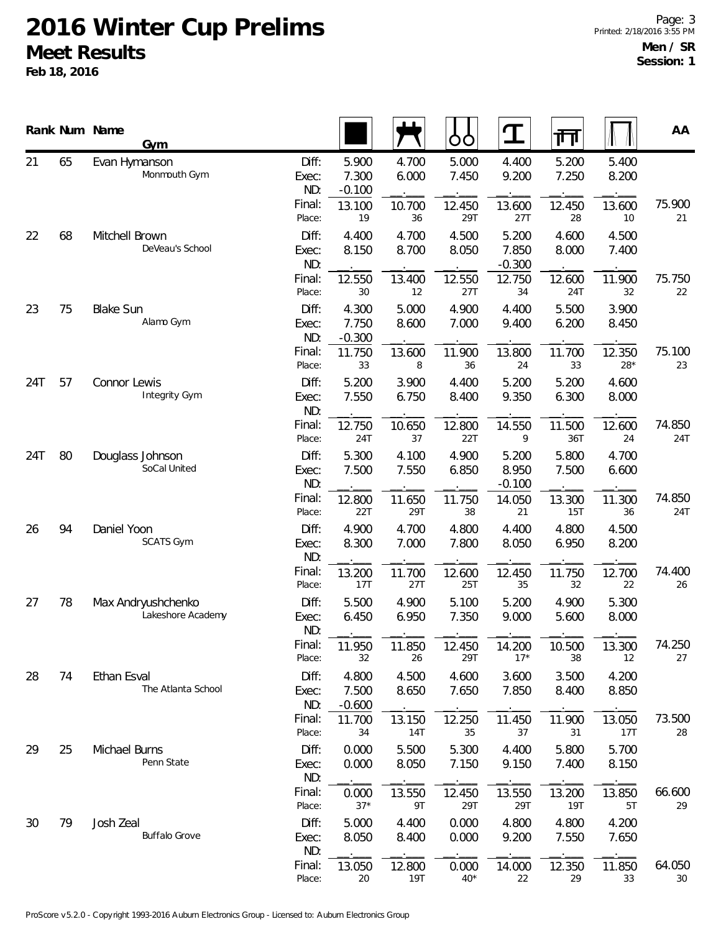|     |    | Rank Num Name<br>Gym                     |                                 |                                      |                          | OO                       | $\mathbf T$                       | ग्ग                      |                          | AA            |
|-----|----|------------------------------------------|---------------------------------|--------------------------------------|--------------------------|--------------------------|-----------------------------------|--------------------------|--------------------------|---------------|
| 21  | 65 | Evan Hymanson<br>Monmouth Gym            | Diff:<br>Exec:<br>ND:<br>Final: | 5.900<br>7.300<br>$-0.100$<br>13.100 | 4.700<br>6.000<br>10.700 | 5.000<br>7.450<br>12.450 | 4.400<br>9.200<br>13.600          | 5.200<br>7.250<br>12.450 | 5.400<br>8.200<br>13.600 | 75.900        |
| 22  | 68 | Mitchell Brown<br>DeVeau's School        | Place:<br>Diff:<br>Exec:<br>ND: | 19<br>4.400<br>8.150                 | 36<br>4.700<br>8.700     | 29T<br>4.500<br>8.050    | 27T<br>5.200<br>7.850<br>$-0.300$ | 28<br>4.600<br>8.000     | 10<br>4.500<br>7.400     | 21            |
|     |    |                                          | Final:<br>Place:                | 12.550<br>30                         | 13.400<br>12             | 12.550<br>27T            | 12.750<br>34                      | 12.600<br>24T            | 11.900<br>32             | 75.750<br>22  |
| 23  | 75 | <b>Blake Sun</b><br>Alamo Gym            | Diff:<br>Exec:<br>ND:           | 4.300<br>7.750<br>$-0.300$           | 5.000<br>8.600           | 4.900<br>7.000           | 4.400<br>9.400                    | 5.500<br>6.200           | 3.900<br>8.450           |               |
|     |    |                                          | Final:<br>Place:                | 11.750<br>33                         | 13.600<br>8              | 11.900<br>36             | 13.800<br>24                      | 11.700<br>33             | 12.350<br>$28*$          | 75.100<br>23  |
| 24T | 57 | Connor Lewis<br>Integrity Gym            | Diff:<br>Exec:<br>ND:           | 5.200<br>7.550                       | 3.900<br>6.750           | 4.400<br>8.400           | 5.200<br>9.350                    | 5.200<br>6.300           | 4.600<br>8.000           |               |
|     |    |                                          | Final:<br>Place:                | 12.750<br>24T                        | 10.650<br>37             | 12.800<br>22T            | 14.550<br>9                       | 11.500<br>36T            | 12.600<br>24             | 74.850<br>24T |
| 24T | 80 | Douglass Johnson<br>SoCal United         | Diff:<br>Exec:<br>ND:           | 5.300<br>7.500                       | 4.100<br>7.550           | 4.900<br>6.850           | 5.200<br>8.950<br>$-0.100$        | 5.800<br>7.500           | 4.700<br>6.600           |               |
|     |    |                                          | Final:<br>Place:                | 12.800<br>22T                        | 11.650<br>29T            | 11.750<br>38             | 14.050<br>21                      | 13.300<br>15T            | 11.300<br>36             | 74.850<br>24T |
| 26  | 94 | Daniel Yoon<br><b>SCATS Gym</b>          | Diff:<br>Exec:<br>ND:           | 4.900<br>8.300                       | 4.700<br>7.000           | 4.800<br>7.800           | 4.400<br>8.050                    | 4.800<br>6.950           | 4.500<br>8.200           |               |
|     |    |                                          | Final:<br>Place:                | 13.200<br>17T                        | 11.700<br>27T            | 12.600<br>25T            | 12.450<br>35                      | 11.750<br>32             | 12.700<br>22             | 74.400<br>26  |
| 27  | 78 | Max Andryushchenko<br>Lakeshore Academy  | Diff:<br>Exec:<br>ND:           | 5.500<br>6.450                       | 4.900<br>6.950           | 5.100<br>7.350           | 5.200<br>9.000                    | 4.900<br>5.600           | 5.300<br>8.000           |               |
|     |    |                                          | Final:<br>Place:                | 11.950<br>32                         | 11.850<br>26             | 12.450<br>29T            | 14.200<br>$17*$                   | 10.500<br>38             | 13.300<br>12             | 74.250<br>27  |
| 28  | 74 | <b>Ethan Esval</b><br>The Atlanta School | Diff:<br>Exec:<br>ND:           | 4.800<br>7.500<br>$-0.600$           | 4.500<br>8.650           | 4.600<br>7.650           | 3.600<br>7.850                    | 3.500<br>8.400           | 4.200<br>8.850           |               |
|     |    |                                          | Final:<br>Place:                | 11.700<br>34                         | 13.150<br>14T            | 12.250<br>35             | 11.450<br>37                      | 11.900<br>31             | 13.050<br>17T            | 73.500<br>28  |
| 29  | 25 | Michael Burns<br>Penn State              | Diff:<br>Exec:<br>ND:           | 0.000<br>0.000                       | 5.500<br>8.050           | 5.300<br>7.150           | 4.400<br>9.150                    | 5.800<br>7.400           | 5.700<br>8.150           |               |
|     |    |                                          | Final:<br>Place:                | 0.000<br>$37*$                       | 13.550<br>9T             | 12.450<br>29T            | 13.550<br>29T                     | 13.200<br>19T            | 13.850<br>5T             | 66.600<br>29  |
| 30  | 79 | Josh Zeal<br><b>Buffalo Grove</b>        | Diff:<br>Exec:<br>ND:           | 5.000<br>8.050                       | 4.400<br>8.400           | 0.000<br>0.000           | 4.800<br>9.200                    | 4.800<br>7.550           | 4.200<br>7.650           |               |
|     |    |                                          | Final:<br>Place:                | 13.050<br>20                         | 12.800<br><b>19T</b>     | 0.000<br>$40*$           | 14.000<br>22                      | 12.350<br>29             | 11.850<br>33             | 64.050<br>30  |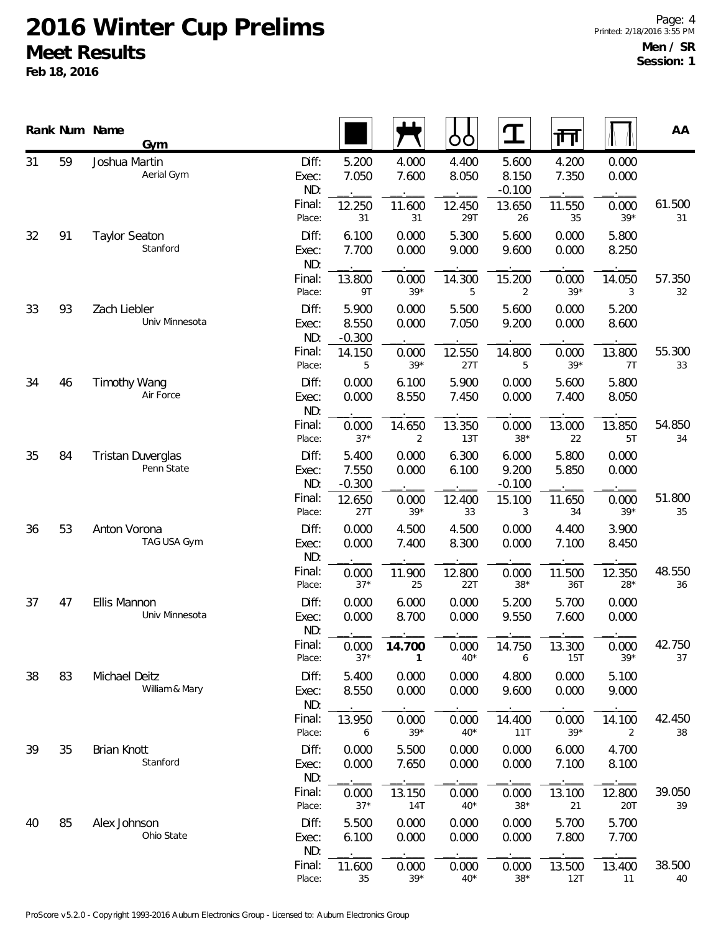|    |    | Rank Num Name<br>Gym                   |                       |                            |                          | OO             | $\mathbf T$                | गा             |                 | AA           |
|----|----|----------------------------------------|-----------------------|----------------------------|--------------------------|----------------|----------------------------|----------------|-----------------|--------------|
| 31 | 59 | Joshua Martin<br>Aerial Gym            | Diff:<br>Exec:<br>ND: | 5.200<br>7.050             | 4.000<br>7.600           | 4.400<br>8.050 | 5.600<br>8.150<br>$-0.100$ | 4.200<br>7.350 | 0.000<br>0.000  |              |
|    |    |                                        | Final:<br>Place:      | 12.250<br>31               | 11.600<br>31             | 12.450<br>29T  | 13.650<br>26               | 11.550<br>35   | 0.000<br>$39*$  | 61.500<br>31 |
| 32 | 91 | <b>Taylor Seaton</b><br>Stanford       | Diff:<br>Exec:<br>ND: | 6.100<br>7.700             | 0.000<br>0.000           | 5.300<br>9.000 | 5.600<br>9.600             | 0.000<br>0.000 | 5.800<br>8.250  |              |
|    |    |                                        | Final:<br>Place:      | 13.800<br>9T               | 0.000<br>$39*$           | 14.300<br>5    | 15.200<br>$\overline{2}$   | 0.000<br>$39*$ | 14.050<br>3     | 57.350<br>32 |
| 33 | 93 | Zach Liebler<br>Univ Minnesota         | Diff:<br>Exec:<br>ND: | 5.900<br>8.550<br>$-0.300$ | 0.000<br>0.000           | 5.500<br>7.050 | 5.600<br>9.200             | 0.000<br>0.000 | 5.200<br>8.600  |              |
|    |    |                                        | Final:<br>Place:      | 14.150<br>5                | 0.000<br>$39*$           | 12.550<br>27T  | 14.800<br>5                | 0.000<br>$39*$ | 13.800<br>7T    | 55.300<br>33 |
| 34 | 46 | <b>Timothy Wang</b><br>Air Force       | Diff:<br>Exec:<br>ND: | 0.000<br>0.000             | 6.100<br>8.550           | 5.900<br>7.450 | 0.000<br>0.000             | 5.600<br>7.400 | 5.800<br>8.050  |              |
|    |    |                                        | Final:<br>Place:      | 0.000<br>$37*$             | 14.650<br>$\overline{2}$ | 13.350<br>13T  | 0.000<br>$38*$             | 13.000<br>22   | 13.850<br>5T    | 54.850<br>34 |
| 35 | 84 | <b>Tristan Duverglas</b><br>Penn State | Diff:<br>Exec:<br>ND: | 5.400<br>7.550<br>$-0.300$ | 0.000<br>0.000           | 6.300<br>6.100 | 6.000<br>9.200<br>$-0.100$ | 5.800<br>5.850 | 0.000<br>0.000  |              |
|    |    |                                        | Final:<br>Place:      | 12.650<br>27T              | 0.000<br>$39*$           | 12.400<br>33   | 15.100<br>3                | 11.650<br>34   | 0.000<br>$39*$  | 51.800<br>35 |
| 36 | 53 | Anton Vorona<br>TAG USA Gym            | Diff:<br>Exec:<br>ND: | 0.000<br>0.000             | 4.500<br>7.400           | 4.500<br>8.300 | 0.000<br>0.000             | 4.400<br>7.100 | 3.900<br>8.450  |              |
|    |    |                                        | Final:<br>Place:      | 0.000<br>$37*$             | 11.900<br>25             | 12.800<br>22T  | 0.000<br>$38*$             | 11.500<br>36T  | 12.350<br>$28*$ | 48.550<br>36 |
| 37 | 47 | Ellis Mannon<br>Univ Minnesota         | Diff:<br>Exec:<br>ND: | 0.000<br>0.000             | 6.000<br>8.700           | 0.000<br>0.000 | 5.200<br>9.550             | 5.700<br>7.600 | 0.000<br>0.000  |              |
|    |    |                                        | Final:<br>Place:      | 0.000<br>$37*$             | 14.700<br>1              | 0.000<br>$40*$ | 14.750<br>6                | 13.300<br>15T  | 0.000<br>$39*$  | 42.750<br>37 |
| 38 | 83 | Michael Deitz<br>William & Mary        | Diff:<br>Exec:<br>ND: | 5.400<br>8.550             | 0.000<br>0.000           | 0.000<br>0.000 | 4.800<br>9.600             | 0.000<br>0.000 | 5.100<br>9.000  |              |
|    |    |                                        | Final:<br>Place:      | 13.950<br>6                | 0.000<br>$39*$           | 0.000<br>$40*$ | 14.400<br>11T              | 0.000<br>$39*$ | 14.100<br>2     | 42.450<br>38 |
| 39 | 35 | <b>Brian Knott</b><br>Stanford         | Diff:<br>Exec:<br>ND: | 0.000<br>0.000             | 5.500<br>7.650           | 0.000<br>0.000 | 0.000<br>0.000             | 6.000<br>7.100 | 4.700<br>8.100  |              |
|    |    |                                        | Final:<br>Place:      | 0.000<br>$37*$             | 13.150<br>14T            | 0.000<br>$40*$ | 0.000<br>$38*$             | 13.100<br>21   | 12.800<br>20T   | 39.050<br>39 |
| 40 | 85 | Alex Johnson<br>Ohio State             | Diff:<br>Exec:<br>ND: | 5.500<br>6.100             | 0.000<br>0.000           | 0.000<br>0.000 | 0.000<br>0.000             | 5.700<br>7.800 | 5.700<br>7.700  |              |
|    |    |                                        | Final:<br>Place:      | 11.600<br>35               | 0.000<br>$39*$           | 0.000<br>$40*$ | 0.000<br>$38*$             | 13.500<br>12T  | 13.400<br>11    | 38.500<br>40 |